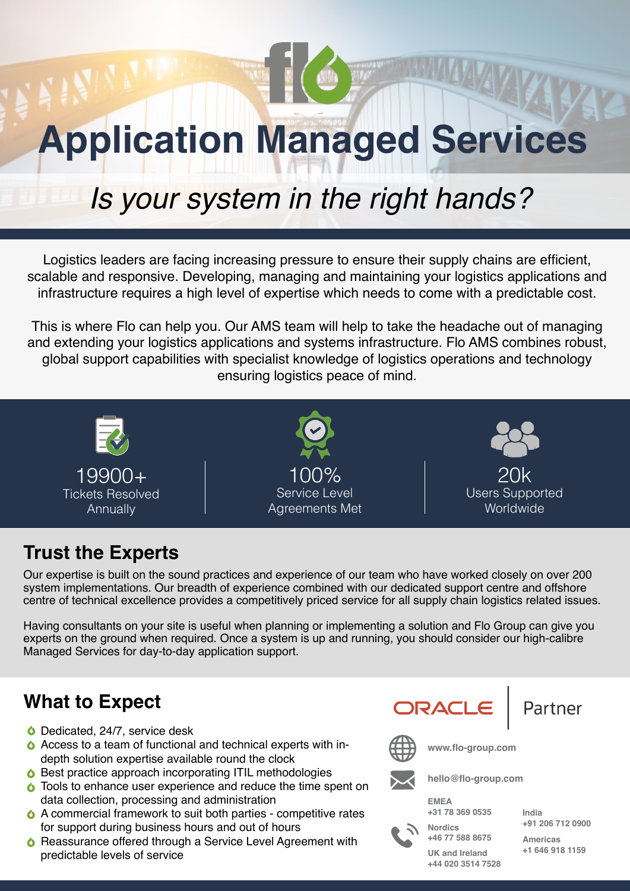# **Application Managed Services**

# *Is your system in the right hands?*

Logistics leaders are facing increasing pressure to ensure their supply chains are efficient, scalable and responsive. Developing, managing and maintaining your logistics applications and infrastructure requires a high level of expertise which needs to come with a predictable cost.

This is where Flo can help you. Our AMS team will help to take the headache out of managing and extending your logistics applications and systems infrastructure. Flo AMS combines robust, global support capabilities with specialist knowledge of logistics operations and technology ensuring logistics peace of mind.



#### **Trust the Experts**

Our expertise is built on the sound practices and experience of our team who have worked closely on over 200 system implementations. Our breadth of experience combined with our dedicated support centre and offshore centre of technical excellence provides a competitively priced service for all supply chain logistics related issues.

Having consultants on your site is useful when planning or implementing a solution and Flo Group can give you experts on the ground when required. Once a system is up and running, you should consider our high-calibre Managed Services for day-to-day application support.

#### **What to Expect**

- O Dedicated, 24/7, service desk
- Access to a team of functional and technical experts with indepth solution expertise available round the clock
- **6** Best practice approach incorporating ITIL methodologies
- **O** Tools to enhance user experience and reduce the time spent on data collection, processing and administration
- A commercial framework to suit both parties competitive rates for support during business hours and out of hours
- **△ Reassurance offered through a Service Level Agreement with** predictable levels of service

ORACLE

Partner



**www.flo-group.com**

**hello@flo-group.com**



**Nordics +46 77 588 8675 +31 78 369 0535**

**India +91 206 712 0900**

**Americas +1 646 918 1159**

**UK and Ireland +44 020 3514 7528**